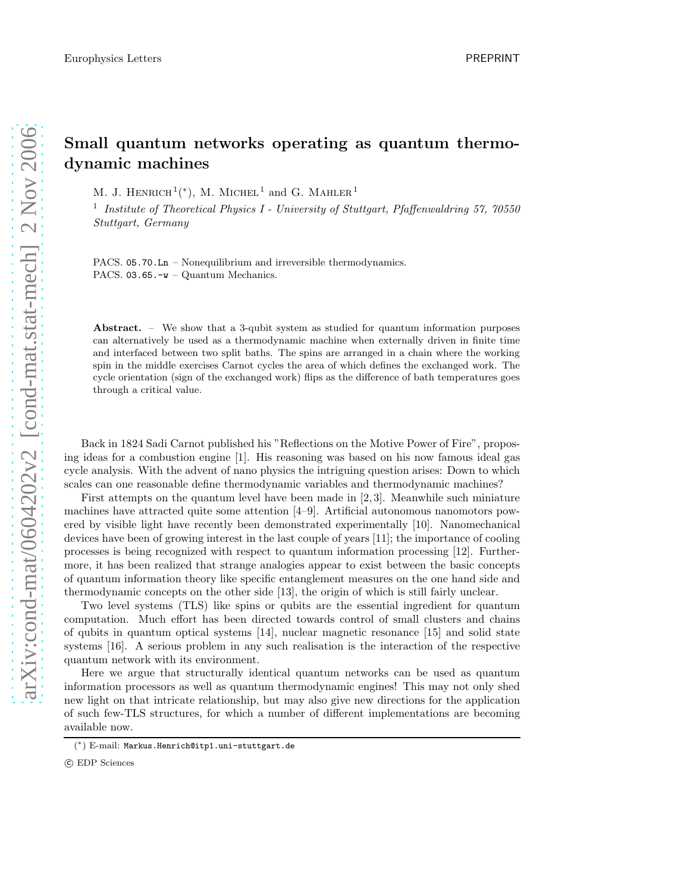## Small quantum networks operating as quantum thermodynamic machines

M. J. HENRICH<sup>1</sup>(\*), M. MICHEL<sup>1</sup> and G. MAHLER<sup>1</sup>

<sup>1</sup> Institute of Theoretical Physics I - University of Stuttgart, Pfaffenwaldring 57, 70550 Stuttgart, Germany

PACS. 05.70.Ln – Nonequilibrium and irreversible thermodynamics. PACS. 03.65.-w – Quantum Mechanics.

Abstract. – We show that a 3-qubit system as studied for quantum information purposes can alternatively be used as a thermodynamic machine when externally driven in finite time and interfaced between two split baths. The spins are arranged in a chain where the working spin in the middle exercises Carnot cycles the area of which defines the exchanged work. The cycle orientation (sign of the exchanged work) flips as the difference of bath temperatures goes through a critical value.

Back in 1824 Sadi Carnot published his "Reflections on the Motive Power of Fire", proposing ideas for a combustion engine [1]. His reasoning was based on his now famous ideal gas cycle analysis. With the advent of nano physics the intriguing question arises: Down to which scales can one reasonable define thermodynamic variables and thermodynamic machines?

First attempts on the quantum level have been made in [2, 3]. Meanwhile such miniature machines have attracted quite some attention [4–9]. Artificial autonomous nanomotors powered by visible light have recently been demonstrated experimentally [10]. Nanomechanical devices have been of growing interest in the last couple of years [11]; the importance of cooling processes is being recognized with respect to quantum information processing [12]. Furthermore, it has been realized that strange analogies appear to exist between the basic concepts of quantum information theory like specific entanglement measures on the one hand side and thermodynamic concepts on the other side [13], the origin of which is still fairly unclear.

Two level systems (TLS) like spins or qubits are the essential ingredient for quantum computation. Much effort has been directed towards control of small clusters and chains of qubits in quantum optical systems [14], nuclear magnetic resonance [15] and solid state systems [16]. A serious problem in any such realisation is the interaction of the respective quantum network with its environment.

Here we argue that structurally identical quantum networks can be used as quantum information processors as well as quantum thermodynamic engines! This may not only shed new light on that intricate relationship, but may also give new directions for the application of such few-TLS structures, for which a number of different implementations are becoming available now.

<sup>(</sup> ∗ ) E-mail: Markus.Henrich@itp1.uni-stuttgart.de

c EDP Sciences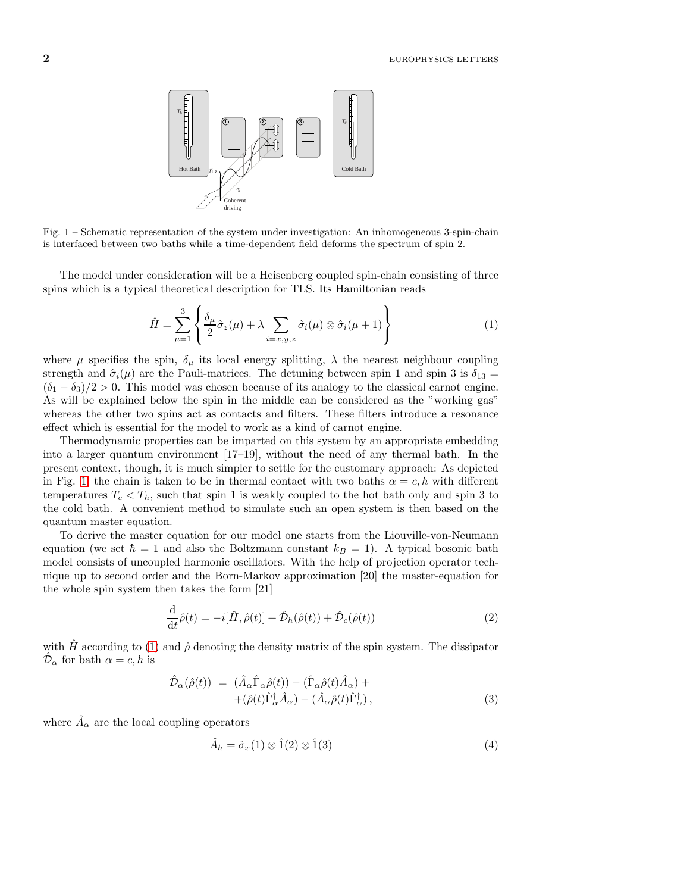

<span id="page-1-0"></span>Fig. 1 – Schematic representation of the system under investigation: An inhomogeneous 3-spin-chain is interfaced between two baths while a time-dependent field deforms the spectrum of spin 2.

The model under consideration will be a Heisenberg coupled spin-chain consisting of three spins which is a typical theoretical description for TLS. Its Hamiltonian reads

<span id="page-1-1"></span>
$$
\hat{H} = \sum_{\mu=1}^{3} \left\{ \frac{\delta_{\mu}}{2} \hat{\sigma}_{z}(\mu) + \lambda \sum_{i=x,y,z} \hat{\sigma}_{i}(\mu) \otimes \hat{\sigma}_{i}(\mu+1) \right\}
$$
(1)

where  $\mu$  specifies the spin,  $\delta_{\mu}$  its local energy splitting,  $\lambda$  the nearest neighbour coupling strength and  $\hat{\sigma}_i(\mu)$  are the Pauli-matrices. The detuning between spin 1 and spin 3 is  $\delta_{13} =$  $(\delta_1 - \delta_3)/2 > 0$ . This model was chosen because of its analogy to the classical carnot engine. As will be explained below the spin in the middle can be considered as the "working gas" whereas the other two spins act as contacts and filters. These filters introduce a resonance effect which is essential for the model to work as a kind of carnot engine.

Thermodynamic properties can be imparted on this system by an appropriate embedding into a larger quantum environment [17–19], without the need of any thermal bath. In the present context, though, it is much simpler to settle for the customary approach: As depicted in Fig. [1,](#page-1-0) the chain is taken to be in thermal contact with two baths  $\alpha = c, h$  with different temperatures  $T_c < T_h$ , such that spin 1 is weakly coupled to the hot bath only and spin 3 to the cold bath. A convenient method to simulate such an open system is then based on the quantum master equation.

To derive the master equation for our model one starts from the Liouville-von-Neumann equation (we set  $\hbar = 1$  and also the Boltzmann constant  $k_B = 1$ ). A typical bosonic bath model consists of uncoupled harmonic oscillators. With the help of projection operator technique up to second order and the Born-Markov approximation [20] the master-equation for the whole spin system then takes the form [21]

$$
\frac{\mathrm{d}}{\mathrm{d}t}\hat{\rho}(t) = -i[\hat{H}, \hat{\rho}(t)] + \hat{\mathcal{D}}_h(\hat{\rho}(t)) + \hat{\mathcal{D}}_c(\hat{\rho}(t))
$$
\n(2)

with  $\hat{H}$  according to [\(1\)](#page-1-1) and  $\hat{\rho}$  denoting the density matrix of the spin system. The dissipator  $\hat{\mathcal{D}}_{\alpha}$  for bath  $\alpha = c, h$  is

$$
\hat{\mathcal{D}}_{\alpha}(\hat{\rho}(t)) = (\hat{A}_{\alpha}\hat{\Gamma}_{\alpha}\hat{\rho}(t)) - (\hat{\Gamma}_{\alpha}\hat{\rho}(t)\hat{A}_{\alpha}) + \n+ (\hat{\rho}(t)\hat{\Gamma}_{\alpha}^{\dagger}\hat{A}_{\alpha}) - (\hat{A}_{\alpha}\hat{\rho}(t)\hat{\Gamma}_{\alpha}^{\dagger}),
$$
\n(3)

where  $\hat{A}_{\alpha}$  are the local coupling operators

$$
\hat{A}_h = \hat{\sigma}_x(1) \otimes \hat{1}(2) \otimes \hat{1}(3)
$$
\n<sup>(4)</sup>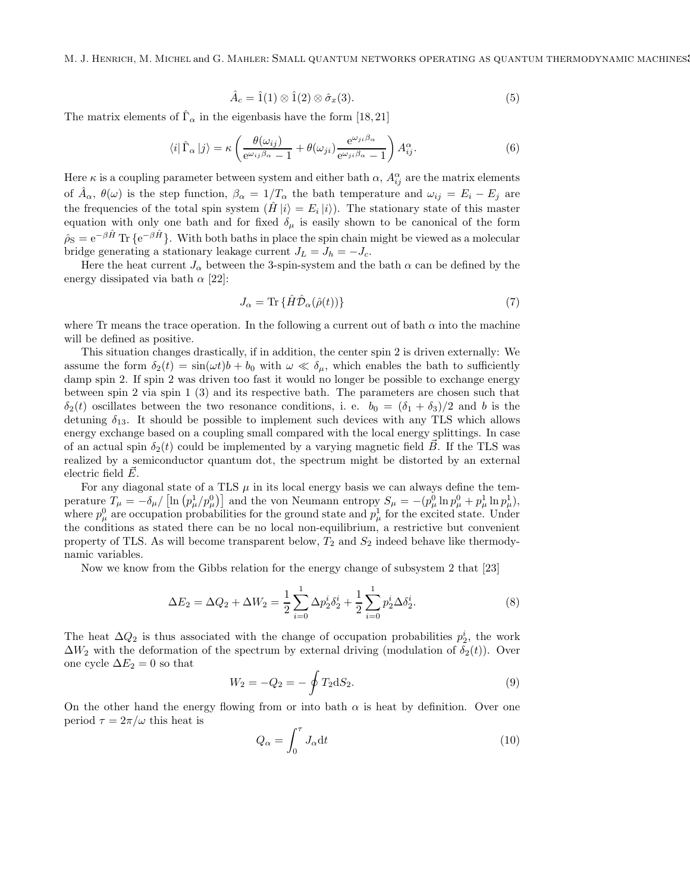M. J. Henrich, M. Michel and G. Mahler: Small quantum networks operating as quantum thermodynamic machines3

$$
\hat{A}_c = \hat{1}(1) \otimes \hat{1}(2) \otimes \hat{\sigma}_x(3). \tag{5}
$$

The matrix elements of  $\hat{\Gamma}_{\alpha}$  in the eigenbasis have the form [18,21]

$$
\langle i|\hat{\Gamma}_{\alpha}|j\rangle = \kappa \left(\frac{\theta(\omega_{ij})}{e^{\omega_{ij}\beta_{\alpha}}-1} + \theta(\omega_{ji})\frac{e^{\omega_{ji}\beta_{\alpha}}}{e^{\omega_{ji}\beta_{\alpha}}-1}\right)A_{ij}^{\alpha}.
$$
 (6)

Here  $\kappa$  is a coupling parameter between system and either bath  $\alpha$ ,  $A_{ij}^{\alpha}$  are the matrix elements of  $\hat{A}_{\alpha}$ ,  $\theta(\omega)$  is the step function,  $\beta_{\alpha} = 1/T_{\alpha}$  the bath temperature and  $\omega_{ij} = E_i - E_j$  are the frequencies of the total spin system  $(\hat{H} | i \rangle = E_i | i \rangle$ ). The stationary state of this master equation with only one bath and for fixed  $\delta_{\mu}$  is easily shown to be canonical of the form  $\hat{\rho}_S = e^{-\beta \hat{H}} \text{Tr} \{ e^{-\beta \hat{H}} \}.$  With both baths in place the spin chain might be viewed as a molecular bridge generating a stationary leakage current  $J_L = J_h = -J_c$ .

Here the heat current  $J_{\alpha}$  between the 3-spin-system and the bath  $\alpha$  can be defined by the energy dissipated via bath  $\alpha$  [22]:

$$
J_{\alpha} = \text{Tr}\left\{ \hat{H}\hat{\mathcal{D}}_{\alpha}(\hat{\rho}(t)) \right\} \tag{7}
$$

where Tr means the trace operation. In the following a current out of bath  $\alpha$  into the machine will be defined as positive.

This situation changes drastically, if in addition, the center spin 2 is driven externally: We assume the form  $\delta_2(t) = \sin(\omega t) b + b_0$  with  $\omega \ll \delta_\mu$ , which enables the bath to sufficiently damp spin 2. If spin 2 was driven too fast it would no longer be possible to exchange energy between spin 2 via spin 1 (3) and its respective bath. The parameters are chosen such that  $\delta_2(t)$  oscillates between the two resonance conditions, i. e.  $b_0 = (\delta_1 + \delta_3)/2$  and b is the detuning  $\delta_{13}$ . It should be possible to implement such devices with any TLS which allows energy exchange based on a coupling small compared with the local energy splittings. In case of an actual spin  $\delta_2(t)$  could be implemented by a varying magnetic field  $\vec{B}$ . If the TLS was realized by a semiconductor quantum dot, the spectrum might be distorted by an external electric field  $E$ .

For any diagonal state of a TLS  $\mu$  in its local energy basis we can always define the temperature  $T_{\mu} = -\delta_{\mu}/\left[\ln\left(p_{\mu}^1/p_{\mu}^0\right)\right]$  and the von Neumann entropy  $S_{\mu} = -(p_{\mu}^0 \ln p_{\mu}^0 + p_{\mu}^1 \ln p_{\mu}^1)$ , where  $p_{\mu}^{0}$  are occupation probabilities for the ground state and  $p_{\mu}^{1}$  for the excited state. Under the conditions as stated there can be no local non-equilibrium, a restrictive but convenient property of TLS. As will become transparent below,  $T_2$  and  $S_2$  indeed behave like thermodynamic variables.

Now we know from the Gibbs relation for the energy change of subsystem 2 that [23]

$$
\Delta E_2 = \Delta Q_2 + \Delta W_2 = \frac{1}{2} \sum_{i=0}^{1} \Delta p_2^i \delta_2^i + \frac{1}{2} \sum_{i=0}^{1} p_2^i \Delta \delta_2^i.
$$
 (8)

The heat  $\Delta Q_2$  is thus associated with the change of occupation probabilities  $p_2^i$ , the work  $\Delta W_2$  with the deformation of the spectrum by external driving (modulation of  $\delta_2(t)$ ). Over one cycle  $\Delta E_2 = 0$  so that

<span id="page-2-0"></span>
$$
W_2 = -Q_2 = -\oint T_2 dS_2.
$$
\n(9)

On the other hand the energy flowing from or into bath  $\alpha$  is heat by definition. Over one period  $\tau = 2\pi/\omega$  this heat is

<span id="page-2-1"></span>
$$
Q_{\alpha} = \int_0^{\tau} J_{\alpha} \mathrm{d}t \tag{10}
$$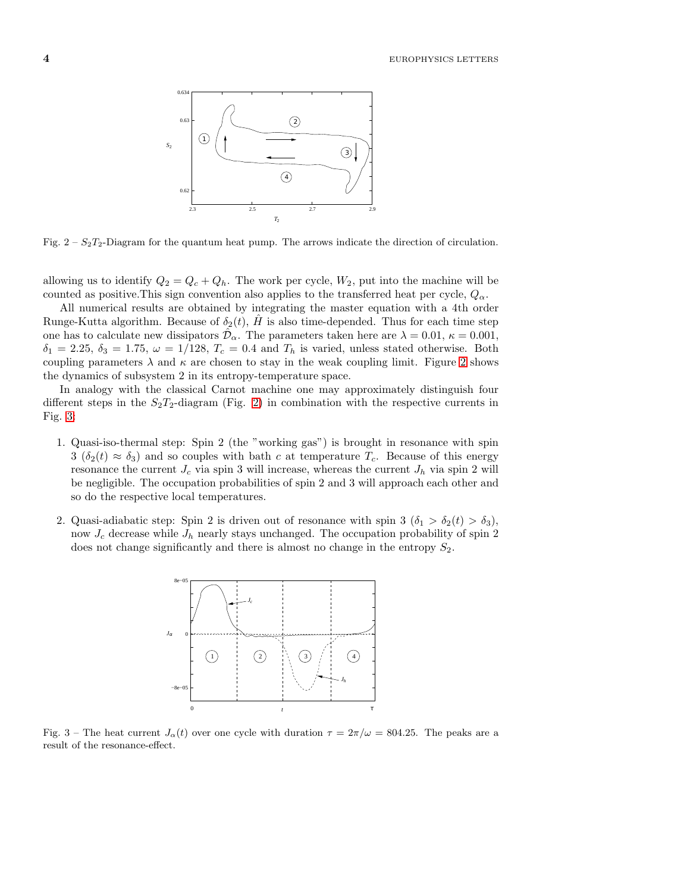**4** EUROPHYSICS LETTERS



<span id="page-3-0"></span>Fig.  $2 - S_2T_2$ -Diagram for the quantum heat pump. The arrows indicate the direction of circulation.

allowing us to identify  $Q_2 = Q_c + Q_h$ . The work per cycle,  $W_2$ , put into the machine will be counted as positive. This sign convention also applies to the transferred heat per cycle,  $Q_{\alpha}$ .

All numerical results are obtained by integrating the master equation with a 4th order Runge-Kutta algorithm. Because of  $\delta_2(t)$ , H is also time-depended. Thus for each time step one has to calculate new dissipators  $\hat{\mathcal{D}}_{\alpha}$ . The parameters taken here are  $\lambda = 0.01$ ,  $\kappa = 0.001$ ,  $\delta_1 = 2.25, \delta_3 = 1.75, \omega = 1/128, T_c = 0.4$  and  $T_h$  is varied, unless stated otherwise. Both coupling parameters  $\lambda$  and  $\kappa$  are chosen to stay in the weak coupling limit. Figure [2](#page-3-0) shows the dynamics of subsystem 2 in its entropy-temperature space.

In analogy with the classical Carnot machine one may approximately distinguish four different steps in the  $S_2T_2$ -diagram (Fig. [2\)](#page-3-0) in combination with the respective currents in Fig. [3:](#page-3-1)

- 1. Quasi-iso-thermal step: Spin 2 (the "working gas") is brought in resonance with spin  $3\left(\delta_2(t) \approx \delta_3\right)$  and so couples with bath c at temperature  $T_c$ . Because of this energy resonance the current  $J_c$  via spin 3 will increase, whereas the current  $J_h$  via spin 2 will be negligible. The occupation probabilities of spin 2 and 3 will approach each other and so do the respective local temperatures.
- 2. Quasi-adiabatic step: Spin 2 is driven out of resonance with spin 3  $(\delta_1 > \delta_2(t) > \delta_3)$ , now  $J_c$  decrease while  $J_h$  nearly stays unchanged. The occupation probability of spin 2 does not change significantly and there is almost no change in the entropy  $S_2$ .



<span id="page-3-1"></span>Fig. 3 – The heat current  $J_{\alpha}(t)$  over one cycle with duration  $\tau = 2\pi/\omega = 804.25$ . The peaks are a result of the resonance-effect.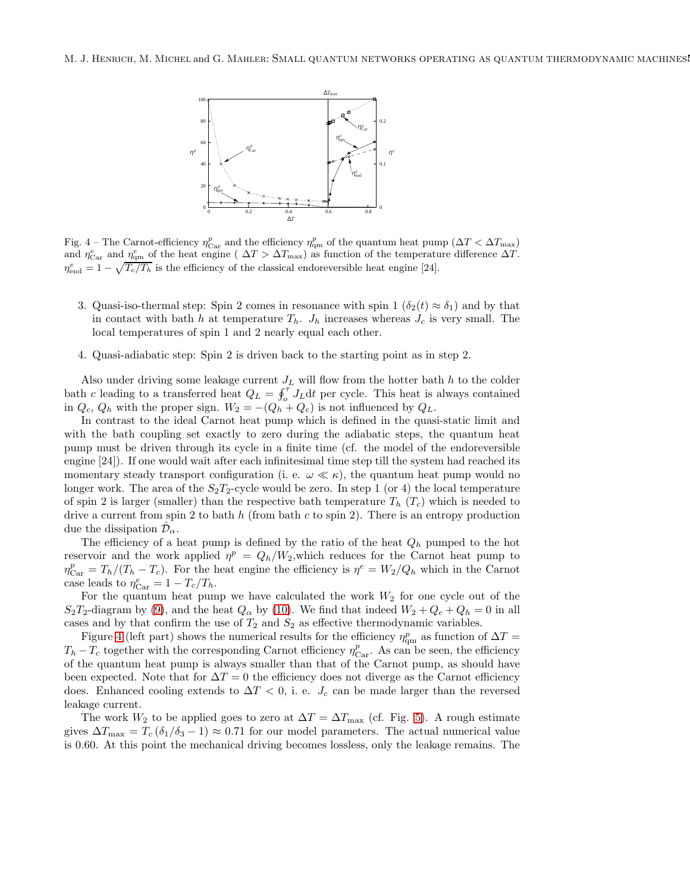

<span id="page-4-0"></span>Fig. 4 – The Carnot-efficiency  $\eta_{\text{Car}}^p$  and the efficiency  $\eta_{\text{qm}}^p$  of the quantum heat pump  $(\Delta T < \Delta T_{\text{max}})$ and  $\eta_{\text{Car}}^e$  and  $\eta_{\text{qm}}^e$  of the heat engine (  $\Delta T > \Delta T_{\text{max}}$ ) as function of the temperature difference  $\Delta T$ .  $\eta_{\text{end}}^e = 1 - \sqrt{T_c/T_h}$  is the efficiency of the classical endoreversible heat engine [24].

- 3. Quasi-iso-thermal step: Spin 2 comes in resonance with spin  $1 \left( \delta_2(t) \approx \delta_1 \right)$  and by that in contact with bath h at temperature  $T_h$ .  $J_h$  increases whereas  $J_c$  is very small. The local temperatures of spin 1 and 2 nearly equal each other.
- 4. Quasi-adiabatic step: Spin 2 is driven back to the starting point as in step 2.

Also under driving some leakage current  $J_L$  will flow from the hotter bath h to the colder bath c leading to a transferred heat  $Q_L = \oint_0^{\tau} J_L dt$  per cycle. This heat is always contained in  $Q_c$ ,  $Q_h$  with the proper sign.  $W_2 = -(Q_h + Q_c)$  is not influenced by  $Q_L$ .

In contrast to the ideal Carnot heat pump which is defined in the quasi-static limit and with the bath coupling set exactly to zero during the adiabatic steps, the quantum heat pump must be driven through its cycle in a finite time (cf. the model of the endoreversible engine [24]). If one would wait after each infinitesimal time step till the system had reached its momentary steady transport configuration (i. e.  $\omega \ll \kappa$ ), the quantum heat pump would no longer work. The area of the  $S_2T_2$ -cycle would be zero. In step 1 (or 4) the local temperature of spin 2 is larger (smaller) than the respective bath temperature  $T_h$  ( $T_c$ ) which is needed to drive a current from spin 2 to bath  $h$  (from bath c to spin 2). There is an entropy production due the dissipation  $\mathcal{D}_{\alpha}$ .

The efficiency of a heat pump is defined by the ratio of the heat  $Q_h$  pumped to the hot reservoir and the work applied  $\eta^p = Q_h/W_2$ , which reduces for the Carnot heat pump to  $\eta_{\text{Car}}^p = T_h/(T_h - T_c)$ . For the heat engine the efficiency is  $\eta^e = W_2/Q_h$  which in the Carnot case leads to  $\eta_{\text{Car}}^e = 1 - T_c/T_h$ .

For the quantum heat pump we have calculated the work  $W_2$  for one cycle out of the  $S_2T_2$ -diagram by [\(9\)](#page-2-0), and the heat  $Q_\alpha$  by [\(10\)](#page-2-1). We find that indeed  $W_2 + Q_c + Q_h = 0$  in all cases and by that confirm the use of  $T_2$  and  $S_2$  as effective thermodynamic variables.

Figure [4](#page-4-0) (left part) shows the numerical results for the efficiency  $\eta_{\rm qm}^p$  as function of  $\Delta T =$  $T_h - T_c$  together with the corresponding Carnot efficiency  $\eta_{\text{Car}}^p$ . As can be seen, the efficiency of the quantum heat pump is always smaller than that of the Carnot pump, as should have been expected. Note that for  $\Delta T = 0$  the efficiency does not diverge as the Carnot efficiency does. Enhanced cooling extends to  $\Delta T < 0$ , i. e.  $J_c$  can be made larger than the reversed leakage current.

The work  $W_2$  to be applied goes to zero at  $\Delta T = \Delta T_{\text{max}}$  (cf. Fig. [5\)](#page-5-0). A rough estimate gives  $\Delta T_{\text{max}} = T_c (\delta_1/\delta_3 - 1) \approx 0.71$  for our model parameters. The actual numerical value is 0.60. At this point the mechanical driving becomes lossless, only the leakage remains. The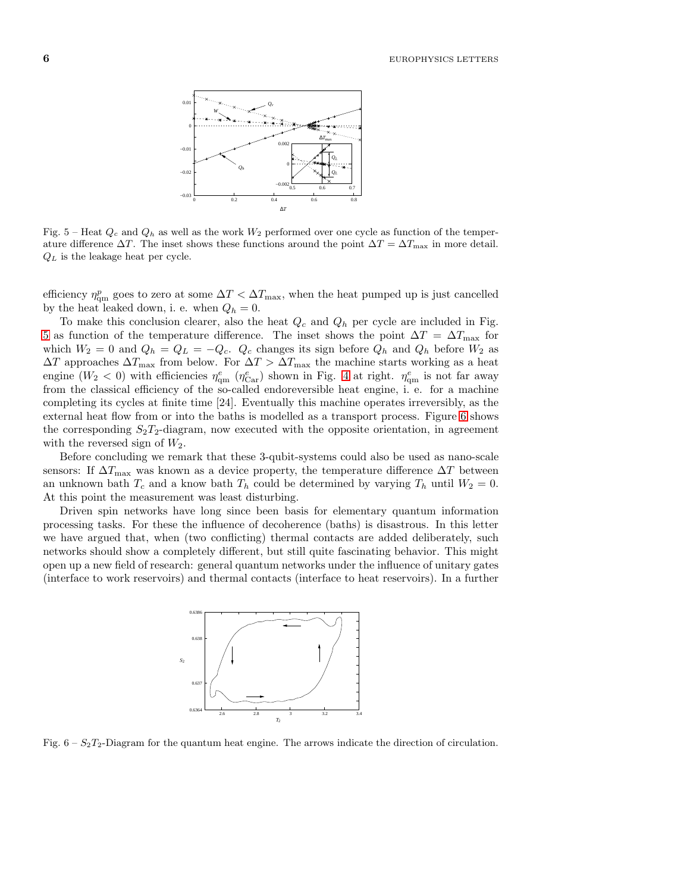

<span id="page-5-0"></span>Fig. 5 – Heat  $Q_c$  and  $Q_h$  as well as the work  $W_2$  performed over one cycle as function of the temperature difference  $\Delta T$ . The inset shows these functions around the point  $\Delta T = \Delta T_{\text{max}}$  in more detail.  $Q_L$  is the leakage heat per cycle.

efficiency  $\eta_{\text{qm}}^p$  goes to zero at some  $\Delta T < \Delta T_{\text{max}}$ , when the heat pumped up is just cancelled by the heat leaked down, i. e. when  $Q_h = 0$ .

To make this conclusion clearer, also the heat  $Q_c$  and  $Q_h$  per cycle are included in Fig. [5](#page-5-0) as function of the temperature difference. The inset shows the point  $\Delta T = \Delta T_{\text{max}}$  for which  $W_2 = 0$  and  $Q_h = Q_L = -Q_c$ .  $Q_c$  changes its sign before  $Q_h$  and  $Q_h$  before  $W_2$  as  $\Delta T$  approaches  $\Delta T_{\text{max}}$  from below. For  $\Delta T > \Delta T_{\text{max}}$  the machine starts working as a heat engine  $(W_2 < 0)$  with efficiencies  $\eta_{\rm qm}^e$  ( $\eta_{\rm Car}^e$ ) shown in Fig. [4](#page-4-0) at right.  $\eta_{\rm qm}^e$  is not far away from the classical efficiency of the so-called endoreversible heat engine, i. e. for a machine completing its cycles at finite time [24]. Eventually this machine operates irreversibly, as the external heat flow from or into the baths is modelled as a transport process. Figure [6](#page-5-1) shows the corresponding  $S_2T_2$ -diagram, now executed with the opposite orientation, in agreement with the reversed sign of  $W_2$ .

Before concluding we remark that these 3-qubit-systems could also be used as nano-scale sensors: If  $\Delta T_{\text{max}}$  was known as a device property, the temperature difference  $\Delta T$  between an unknown bath  $T_c$  and a know bath  $T_h$  could be determined by varying  $T_h$  until  $W_2 = 0$ . At this point the measurement was least disturbing.

Driven spin networks have long since been basis for elementary quantum information processing tasks. For these the influence of decoherence (baths) is disastrous. In this letter we have argued that, when (two conflicting) thermal contacts are added deliberately, such networks should show a completely different, but still quite fascinating behavior. This might open up a new field of research: general quantum networks under the influence of unitary gates (interface to work reservoirs) and thermal contacts (interface to heat reservoirs). In a further



<span id="page-5-1"></span>Fig.  $6 - S_2T_2$ -Diagram for the quantum heat engine. The arrows indicate the direction of circulation.